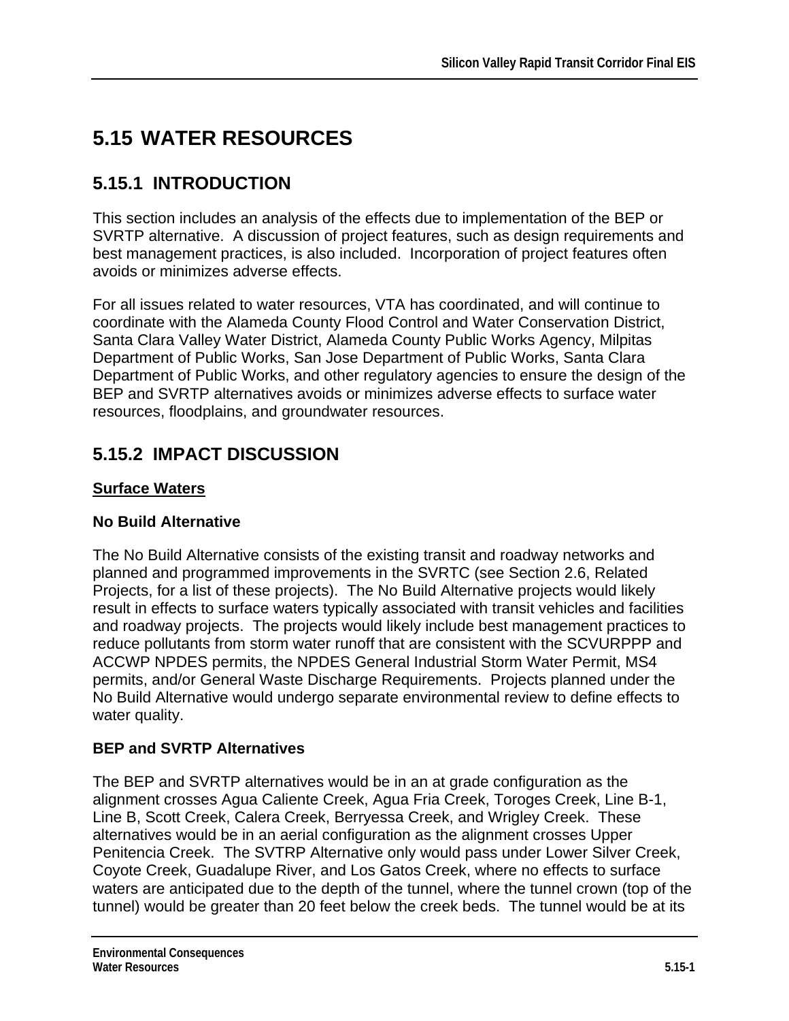# **5.15 WATER RESOURCES**

# **5.15.1 INTRODUCTION**

This section includes an analysis of the effects due to implementation of the BEP or SVRTP alternative. A discussion of project features, such as design requirements and best management practices, is also included. Incorporation of project features often avoids or minimizes adverse effects.

For all issues related to water resources, VTA has coordinated, and will continue to coordinate with the Alameda County Flood Control and Water Conservation District, Santa Clara Valley Water District, Alameda County Public Works Agency, Milpitas Department of Public Works, San Jose Department of Public Works, Santa Clara Department of Public Works, and other regulatory agencies to ensure the design of the BEP and SVRTP alternatives avoids or minimizes adverse effects to surface water resources, floodplains, and groundwater resources.

### **5.15.2 IMPACT DISCUSSION**

### **Surface Waters**

#### **No Build Alternative**

The No Build Alternative consists of the existing transit and roadway networks and planned and programmed improvements in the SVRTC (see Section 2.6, Related Projects, for a list of these projects). The No Build Alternative projects would likely result in effects to surface waters typically associated with transit vehicles and facilities and roadway projects. The projects would likely include best management practices to reduce pollutants from storm water runoff that are consistent with the SCVURPPP and ACCWP NPDES permits, the NPDES General Industrial Storm Water Permit, MS4 permits, and/or General Waste Discharge Requirements. Projects planned under the No Build Alternative would undergo separate environmental review to define effects to water quality.

#### **BEP and SVRTP Alternatives**

The BEP and SVRTP alternatives would be in an at grade configuration as the alignment crosses Agua Caliente Creek, Agua Fria Creek, Toroges Creek, Line B-1, Line B, Scott Creek, Calera Creek, Berryessa Creek, and Wrigley Creek. These alternatives would be in an aerial configuration as the alignment crosses Upper Penitencia Creek. The SVTRP Alternative only would pass under Lower Silver Creek, Coyote Creek, Guadalupe River, and Los Gatos Creek, where no effects to surface waters are anticipated due to the depth of the tunnel, where the tunnel crown (top of the tunnel) would be greater than 20 feet below the creek beds. The tunnel would be at its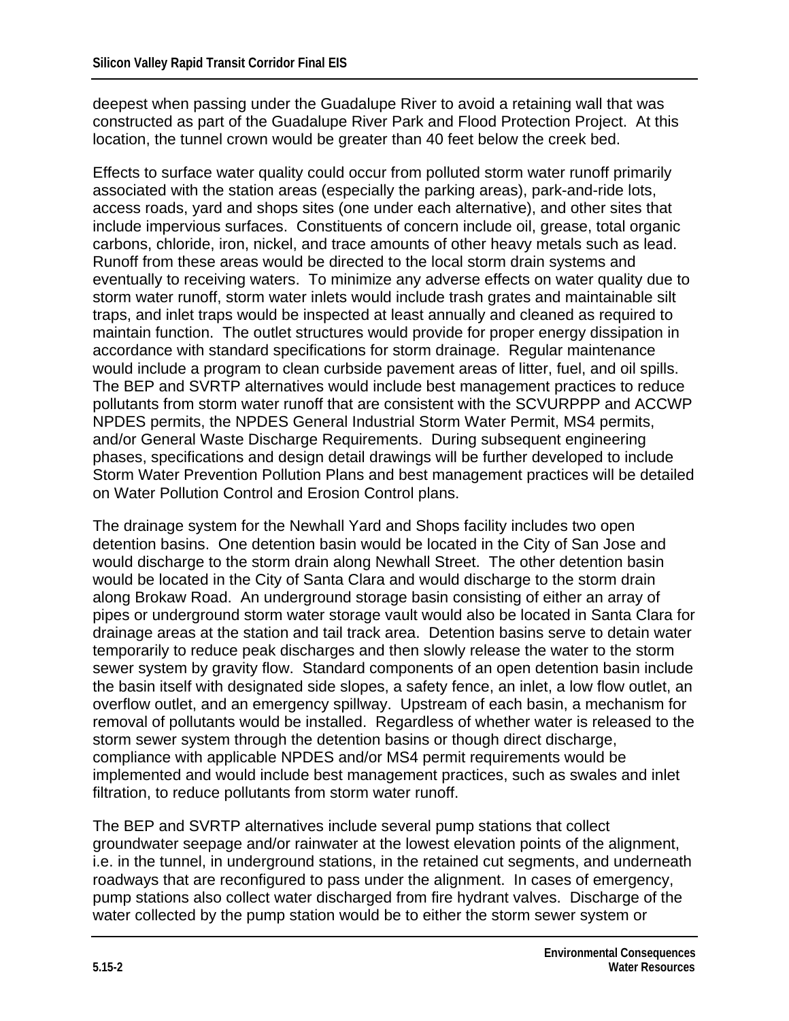deepest when passing under the Guadalupe River to avoid a retaining wall that was constructed as part of the Guadalupe River Park and Flood Protection Project. At this location, the tunnel crown would be greater than 40 feet below the creek bed.

Effects to surface water quality could occur from polluted storm water runoff primarily associated with the station areas (especially the parking areas), park-and-ride lots, access roads, yard and shops sites (one under each alternative), and other sites that include impervious surfaces. Constituents of concern include oil, grease, total organic carbons, chloride, iron, nickel, and trace amounts of other heavy metals such as lead. Runoff from these areas would be directed to the local storm drain systems and eventually to receiving waters. To minimize any adverse effects on water quality due to storm water runoff, storm water inlets would include trash grates and maintainable silt traps, and inlet traps would be inspected at least annually and cleaned as required to maintain function. The outlet structures would provide for proper energy dissipation in accordance with standard specifications for storm drainage. Regular maintenance would include a program to clean curbside pavement areas of litter, fuel, and oil spills. The BEP and SVRTP alternatives would include best management practices to reduce pollutants from storm water runoff that are consistent with the SCVURPPP and ACCWP NPDES permits, the NPDES General Industrial Storm Water Permit, MS4 permits, and/or General Waste Discharge Requirements. During subsequent engineering phases, specifications and design detail drawings will be further developed to include Storm Water Prevention Pollution Plans and best management practices will be detailed on Water Pollution Control and Erosion Control plans.

The drainage system for the Newhall Yard and Shops facility includes two open detention basins. One detention basin would be located in the City of San Jose and would discharge to the storm drain along Newhall Street. The other detention basin would be located in the City of Santa Clara and would discharge to the storm drain along Brokaw Road. An underground storage basin consisting of either an array of pipes or underground storm water storage vault would also be located in Santa Clara for drainage areas at the station and tail track area. Detention basins serve to detain water temporarily to reduce peak discharges and then slowly release the water to the storm sewer system by gravity flow. Standard components of an open detention basin include the basin itself with designated side slopes, a safety fence, an inlet, a low flow outlet, an overflow outlet, and an emergency spillway. Upstream of each basin, a mechanism for removal of pollutants would be installed. Regardless of whether water is released to the storm sewer system through the detention basins or though direct discharge, compliance with applicable NPDES and/or MS4 permit requirements would be implemented and would include best management practices, such as swales and inlet filtration, to reduce pollutants from storm water runoff.

The BEP and SVRTP alternatives include several pump stations that collect groundwater seepage and/or rainwater at the lowest elevation points of the alignment, i.e. in the tunnel, in underground stations, in the retained cut segments, and underneath roadways that are reconfigured to pass under the alignment. In cases of emergency, pump stations also collect water discharged from fire hydrant valves. Discharge of the water collected by the pump station would be to either the storm sewer system or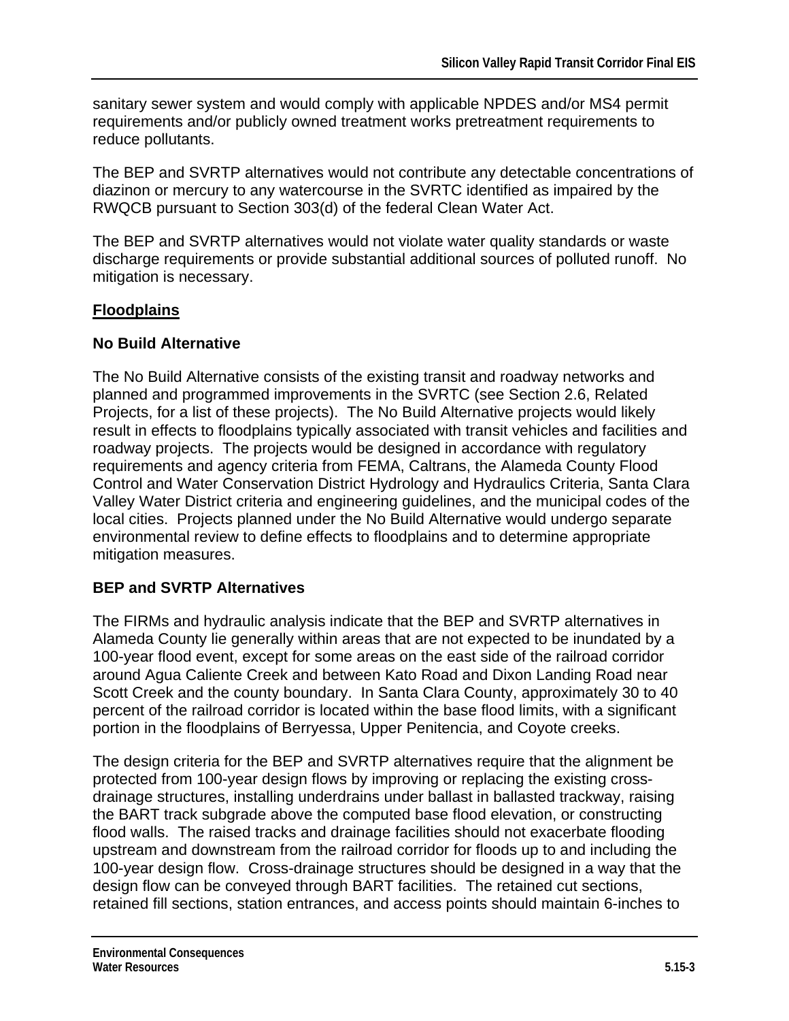sanitary sewer system and would comply with applicable NPDES and/or MS4 permit requirements and/or publicly owned treatment works pretreatment requirements to reduce pollutants.

The BEP and SVRTP alternatives would not contribute any detectable concentrations of diazinon or mercury to any watercourse in the SVRTC identified as impaired by the RWQCB pursuant to Section 303(d) of the federal Clean Water Act.

The BEP and SVRTP alternatives would not violate water quality standards or waste discharge requirements or provide substantial additional sources of polluted runoff. No mitigation is necessary.

#### **Floodplains**

#### **No Build Alternative**

The No Build Alternative consists of the existing transit and roadway networks and planned and programmed improvements in the SVRTC (see Section 2.6, Related Projects, for a list of these projects). The No Build Alternative projects would likely result in effects to floodplains typically associated with transit vehicles and facilities and roadway projects. The projects would be designed in accordance with regulatory requirements and agency criteria from FEMA, Caltrans, the Alameda County Flood Control and Water Conservation District Hydrology and Hydraulics Criteria, Santa Clara Valley Water District criteria and engineering guidelines, and the municipal codes of the local cities. Projects planned under the No Build Alternative would undergo separate environmental review to define effects to floodplains and to determine appropriate mitigation measures.

#### **BEP and SVRTP Alternatives**

The FIRMs and hydraulic analysis indicate that the BEP and SVRTP alternatives in Alameda County lie generally within areas that are not expected to be inundated by a 100-year flood event, except for some areas on the east side of the railroad corridor around Agua Caliente Creek and between Kato Road and Dixon Landing Road near Scott Creek and the county boundary. In Santa Clara County, approximately 30 to 40 percent of the railroad corridor is located within the base flood limits, with a significant portion in the floodplains of Berryessa, Upper Penitencia, and Coyote creeks.

The design criteria for the BEP and SVRTP alternatives require that the alignment be protected from 100-year design flows by improving or replacing the existing crossdrainage structures, installing underdrains under ballast in ballasted trackway, raising the BART track subgrade above the computed base flood elevation, or constructing flood walls. The raised tracks and drainage facilities should not exacerbate flooding upstream and downstream from the railroad corridor for floods up to and including the 100-year design flow. Cross-drainage structures should be designed in a way that the design flow can be conveyed through BART facilities. The retained cut sections, retained fill sections, station entrances, and access points should maintain 6-inches to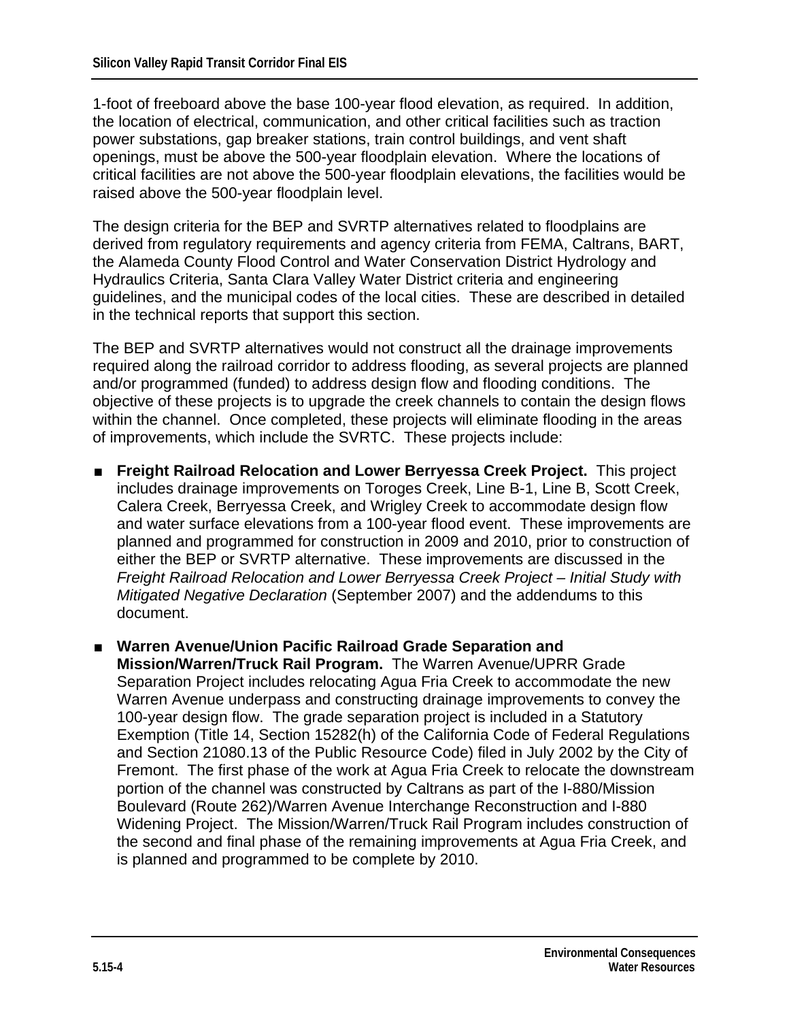1-foot of freeboard above the base 100-year flood elevation, as required.In addition, the location of electrical, communication, and other critical facilities such as traction power substations, gap breaker stations, train control buildings, and vent shaft openings, must be above the 500-year floodplain elevation. Where the locations of critical facilities are not above the 500-year floodplain elevations, the facilities would be raised above the 500-year floodplain level.

The design criteria for the BEP and SVRTP alternatives related to floodplains are derived from regulatory requirements and agency criteria from FEMA, Caltrans, BART, the Alameda County Flood Control and Water Conservation District Hydrology and Hydraulics Criteria, Santa Clara Valley Water District criteria and engineering guidelines, and the municipal codes of the local cities. These are described in detailed in the technical reports that support this section.

The BEP and SVRTP alternatives would not construct all the drainage improvements required along the railroad corridor to address flooding, as several projects are planned and/or programmed (funded) to address design flow and flooding conditions. The objective of these projects is to upgrade the creek channels to contain the design flows within the channel. Once completed, these projects will eliminate flooding in the areas of improvements, which include the SVRTC. These projects include:

- **Freight Railroad Relocation and Lower Berryessa Creek Project.** This project includes drainage improvements on Toroges Creek, Line B-1, Line B, Scott Creek, Calera Creek, Berryessa Creek, and Wrigley Creek to accommodate design flow and water surface elevations from a 100-year flood event. These improvements are planned and programmed for construction in 2009 and 2010, prior to construction of either the BEP or SVRTP alternative. These improvements are discussed in the *Freight Railroad Relocation and Lower Berryessa Creek Project – Initial Study with Mitigated Negative Declaration* (September 2007) and the addendums to this document.
- Warren Avenue/Union Pacific Railroad Grade Separation and **Mission/Warren/Truck Rail Program.** The Warren Avenue/UPRR Grade Separation Project includes relocating Agua Fria Creek to accommodate the new Warren Avenue underpass and constructing drainage improvements to convey the 100-year design flow. The grade separation project is included in a Statutory Exemption (Title 14, Section 15282(h) of the California Code of Federal Regulations and Section 21080.13 of the Public Resource Code) filed in July 2002 by the City of Fremont. The first phase of the work at Agua Fria Creek to relocate the downstream portion of the channel was constructed by Caltrans as part of the I-880/Mission Boulevard (Route 262)/Warren Avenue Interchange Reconstruction and I-880 Widening Project. The Mission/Warren/Truck Rail Program includes construction of the second and final phase of the remaining improvements at Agua Fria Creek, and is planned and programmed to be complete by 2010.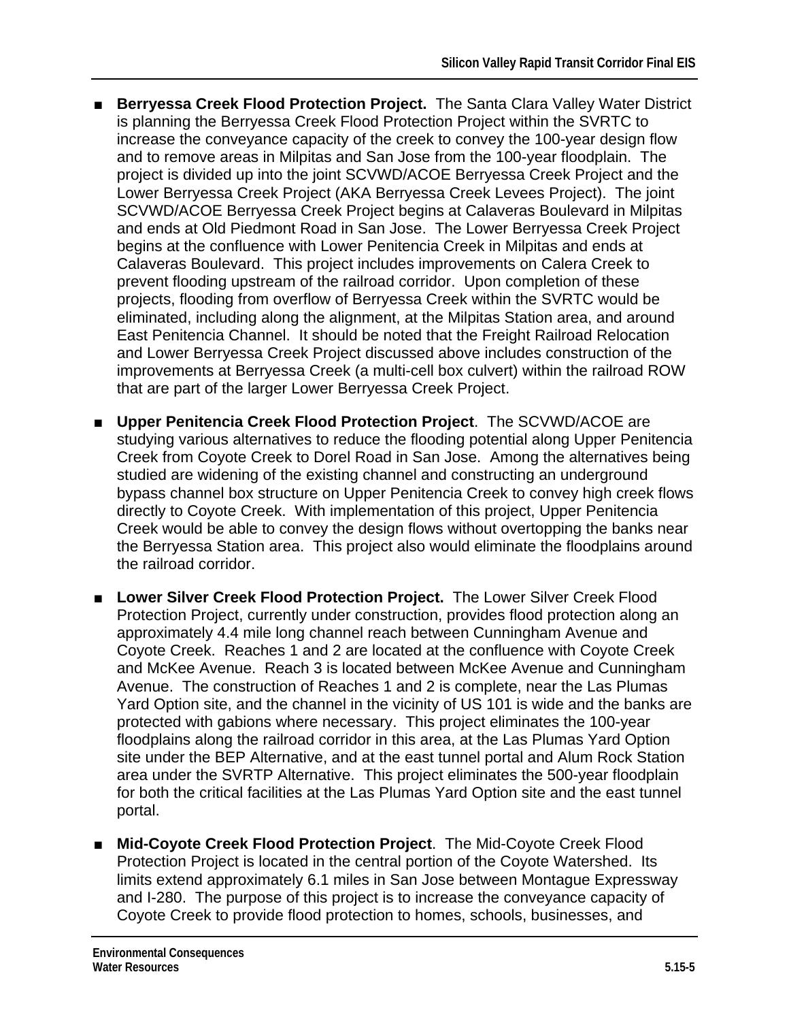- **Berryessa Creek Flood Protection Project.** The Santa Clara Valley Water District is planning the Berryessa Creek Flood Protection Project within the SVRTC to increase the conveyance capacity of the creek to convey the 100-year design flow and to remove areas in Milpitas and San Jose from the 100-year floodplain. The project is divided up into the joint SCVWD/ACOE Berryessa Creek Project and the Lower Berryessa Creek Project (AKA Berryessa Creek Levees Project). The joint SCVWD/ACOE Berryessa Creek Project begins at Calaveras Boulevard in Milpitas and ends at Old Piedmont Road in San Jose. The Lower Berryessa Creek Project begins at the confluence with Lower Penitencia Creek in Milpitas and ends at Calaveras Boulevard. This project includes improvements on Calera Creek to prevent flooding upstream of the railroad corridor. Upon completion of these projects, flooding from overflow of Berryessa Creek within the SVRTC would be eliminated, including along the alignment, at the Milpitas Station area, and around East Penitencia Channel. It should be noted that the Freight Railroad Relocation and Lower Berryessa Creek Project discussed above includes construction of the improvements at Berryessa Creek (a multi-cell box culvert) within the railroad ROW that are part of the larger Lower Berryessa Creek Project.
- **Upper Penitencia Creek Flood Protection Project.** The SCVWD/ACOE are studying various alternatives to reduce the flooding potential along Upper Penitencia Creek from Coyote Creek to Dorel Road in San Jose. Among the alternatives being studied are widening of the existing channel and constructing an underground bypass channel box structure on Upper Penitencia Creek to convey high creek flows directly to Coyote Creek. With implementation of this project, Upper Penitencia Creek would be able to convey the design flows without overtopping the banks near the Berryessa Station area. This project also would eliminate the floodplains around the railroad corridor.
- Lower Silver Creek Flood Protection Project. The Lower Silver Creek Flood Protection Project, currently under construction, provides flood protection along an approximately 4.4 mile long channel reach between Cunningham Avenue and Coyote Creek. Reaches 1 and 2 are located at the confluence with Coyote Creek and McKee Avenue. Reach 3 is located between McKee Avenue and Cunningham Avenue. The construction of Reaches 1 and 2 is complete, near the Las Plumas Yard Option site, and the channel in the vicinity of US 101 is wide and the banks are protected with gabions where necessary. This project eliminates the 100-year floodplains along the railroad corridor in this area, at the Las Plumas Yard Option site under the BEP Alternative, and at the east tunnel portal and Alum Rock Station area under the SVRTP Alternative. This project eliminates the 500-year floodplain for both the critical facilities at the Las Plumas Yard Option site and the east tunnel portal.
- Mid-Coyote Creek Flood Protection Project. The Mid-Coyote Creek Flood Protection Project is located in the central portion of the Coyote Watershed. Its limits extend approximately 6.1 miles in San Jose between Montague Expressway and I-280. The purpose of this project is to increase the conveyance capacity of Coyote Creek to provide flood protection to homes, schools, businesses, and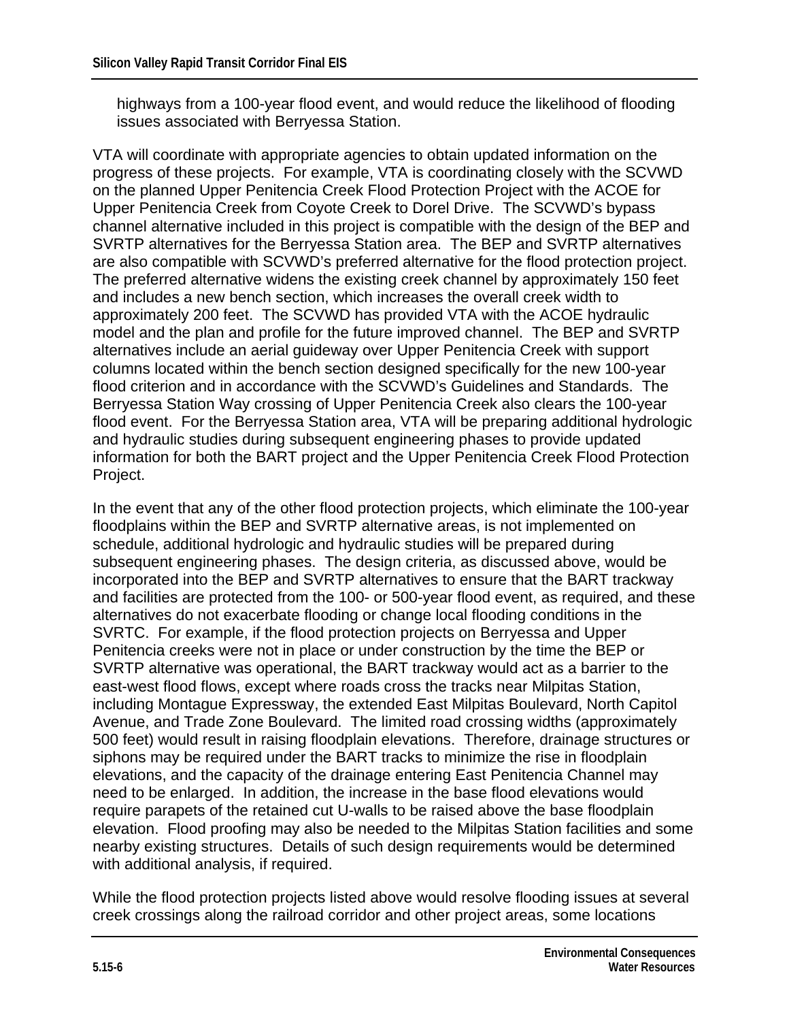highways from a 100-year flood event, and would reduce the likelihood of flooding issues associated with Berryessa Station.

VTA will coordinate with appropriate agencies to obtain updated information on the progress of these projects. For example, VTA is coordinating closely with the SCVWD on the planned Upper Penitencia Creek Flood Protection Project with the ACOE for Upper Penitencia Creek from Coyote Creek to Dorel Drive. The SCVWD's bypass channel alternative included in this project is compatible with the design of the BEP and SVRTP alternatives for the Berryessa Station area. The BEP and SVRTP alternatives are also compatible with SCVWD's preferred alternative for the flood protection project. The preferred alternative widens the existing creek channel by approximately 150 feet and includes a new bench section, which increases the overall creek width to approximately 200 feet. The SCVWD has provided VTA with the ACOE hydraulic model and the plan and profile for the future improved channel. The BEP and SVRTP alternatives include an aerial guideway over Upper Penitencia Creek with support columns located within the bench section designed specifically for the new 100-year flood criterion and in accordance with the SCVWD's Guidelines and Standards. The Berryessa Station Way crossing of Upper Penitencia Creek also clears the 100-year flood event. For the Berryessa Station area, VTA will be preparing additional hydrologic and hydraulic studies during subsequent engineering phases to provide updated information for both the BART project and the Upper Penitencia Creek Flood Protection Project.

In the event that any of the other flood protection projects, which eliminate the 100-year floodplains within the BEP and SVRTP alternative areas, is not implemented on schedule, additional hydrologic and hydraulic studies will be prepared during subsequent engineering phases. The design criteria, as discussed above, would be incorporated into the BEP and SVRTP alternatives to ensure that the BART trackway and facilities are protected from the 100- or 500-year flood event, as required, and these alternatives do not exacerbate flooding or change local flooding conditions in the SVRTC. For example, if the flood protection projects on Berryessa and Upper Penitencia creeks were not in place or under construction by the time the BEP or SVRTP alternative was operational, the BART trackway would act as a barrier to the east-west flood flows, except where roads cross the tracks near Milpitas Station, including Montague Expressway, the extended East Milpitas Boulevard, North Capitol Avenue, and Trade Zone Boulevard. The limited road crossing widths (approximately 500 feet) would result in raising floodplain elevations. Therefore, drainage structures or siphons may be required under the BART tracks to minimize the rise in floodplain elevations, and the capacity of the drainage entering East Penitencia Channel may need to be enlarged. In addition, the increase in the base flood elevations would require parapets of the retained cut U-walls to be raised above the base floodplain elevation. Flood proofing may also be needed to the Milpitas Station facilities and some nearby existing structures. Details of such design requirements would be determined with additional analysis, if required.

While the flood protection projects listed above would resolve flooding issues at several creek crossings along the railroad corridor and other project areas, some locations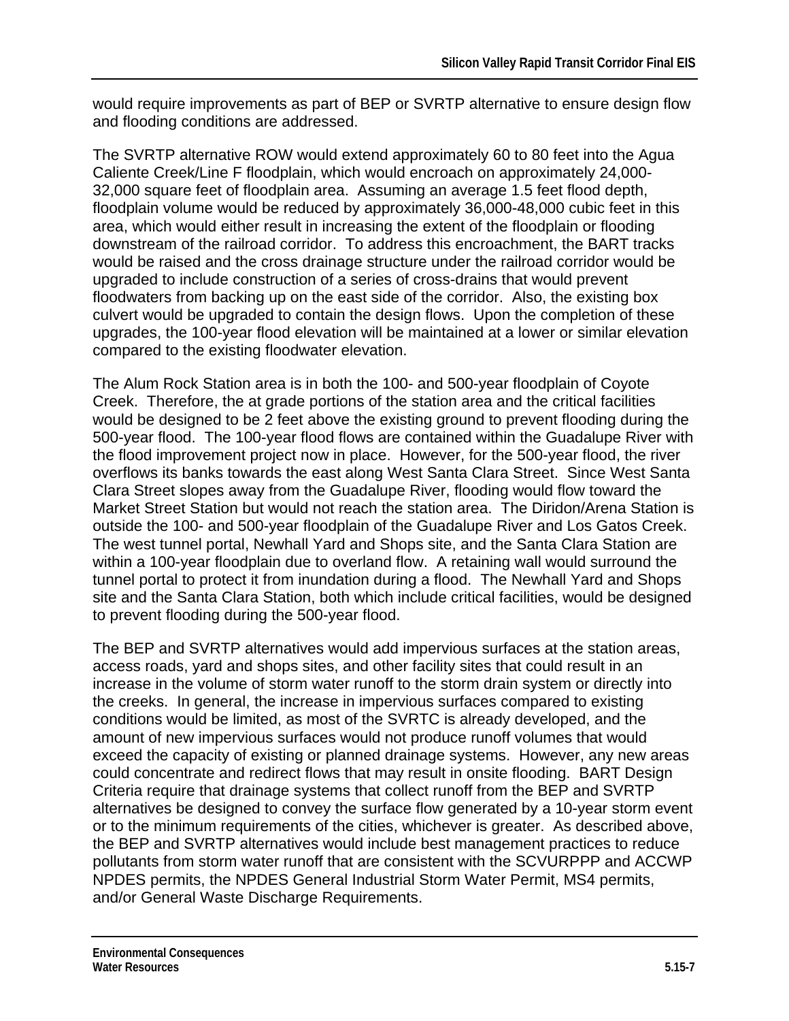would require improvements as part of BEP or SVRTP alternative to ensure design flow and flooding conditions are addressed.

The SVRTP alternative ROW would extend approximately 60 to 80 feet into the Agua Caliente Creek/Line F floodplain, which would encroach on approximately 24,000- 32,000 square feet of floodplain area. Assuming an average 1.5 feet flood depth, floodplain volume would be reduced by approximately 36,000-48,000 cubic feet in this area, which would either result in increasing the extent of the floodplain or flooding downstream of the railroad corridor. To address this encroachment, the BART tracks would be raised and the cross drainage structure under the railroad corridor would be upgraded to include construction of a series of cross-drains that would prevent floodwaters from backing up on the east side of the corridor. Also, the existing box culvert would be upgraded to contain the design flows. Upon the completion of these upgrades, the 100-year flood elevation will be maintained at a lower or similar elevation compared to the existing floodwater elevation.

The Alum Rock Station area is in both the 100- and 500-year floodplain of Coyote Creek. Therefore, the at grade portions of the station area and the critical facilities would be designed to be 2 feet above the existing ground to prevent flooding during the 500-year flood. The 100-year flood flows are contained within the Guadalupe River with the flood improvement project now in place. However, for the 500-year flood, the river overflows its banks towards the east along West Santa Clara Street. Since West Santa Clara Street slopes away from the Guadalupe River, flooding would flow toward the Market Street Station but would not reach the station area. The Diridon/Arena Station is outside the 100- and 500-year floodplain of the Guadalupe River and Los Gatos Creek. The west tunnel portal, Newhall Yard and Shops site, and the Santa Clara Station are within a 100-year floodplain due to overland flow. A retaining wall would surround the tunnel portal to protect it from inundation during a flood. The Newhall Yard and Shops site and the Santa Clara Station, both which include critical facilities, would be designed to prevent flooding during the 500-year flood.

The BEP and SVRTP alternatives would add impervious surfaces at the station areas, access roads, yard and shops sites, and other facility sites that could result in an increase in the volume of storm water runoff to the storm drain system or directly into the creeks. In general, the increase in impervious surfaces compared to existing conditions would be limited, as most of the SVRTC is already developed, and the amount of new impervious surfaces would not produce runoff volumes that would exceed the capacity of existing or planned drainage systems. However, any new areas could concentrate and redirect flows that may result in onsite flooding. BART Design Criteria require that drainage systems that collect runoff from the BEP and SVRTP alternatives be designed to convey the surface flow generated by a 10-year storm event or to the minimum requirements of the cities, whichever is greater. As described above, the BEP and SVRTP alternatives would include best management practices to reduce pollutants from storm water runoff that are consistent with the SCVURPPP and ACCWP NPDES permits, the NPDES General Industrial Storm Water Permit, MS4 permits, and/or General Waste Discharge Requirements.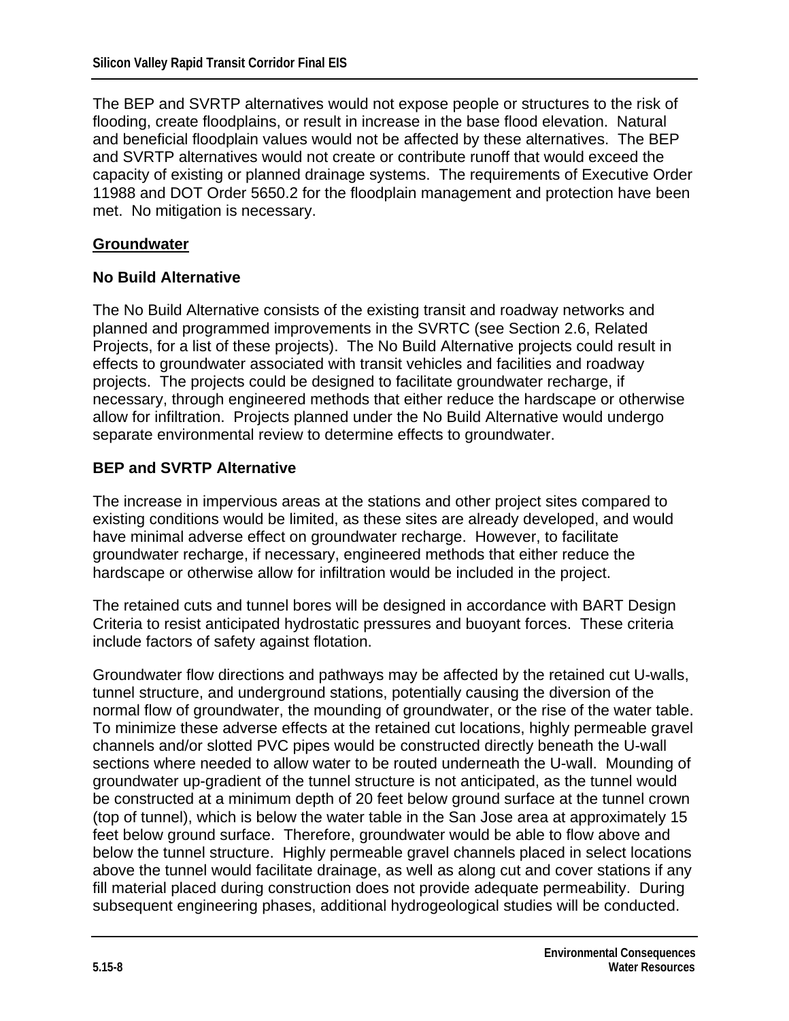The BEP and SVRTP alternatives would not expose people or structures to the risk of flooding, create floodplains, or result in increase in the base flood elevation. Natural and beneficial floodplain values would not be affected by these alternatives. The BEP and SVRTP alternatives would not create or contribute runoff that would exceed the capacity of existing or planned drainage systems. The requirements of Executive Order 11988 and DOT Order 5650.2 for the floodplain management and protection have been met. No mitigation is necessary.

#### **Groundwater**

#### **No Build Alternative**

The No Build Alternative consists of the existing transit and roadway networks and planned and programmed improvements in the SVRTC (see Section 2.6, Related Projects, for a list of these projects). The No Build Alternative projects could result in effects to groundwater associated with transit vehicles and facilities and roadway projects. The projects could be designed to facilitate groundwater recharge, if necessary, through engineered methods that either reduce the hardscape or otherwise allow for infiltration. Projects planned under the No Build Alternative would undergo separate environmental review to determine effects to groundwater.

#### **BEP and SVRTP Alternative**

The increase in impervious areas at the stations and other project sites compared to existing conditions would be limited, as these sites are already developed, and would have minimal adverse effect on groundwater recharge. However, to facilitate groundwater recharge, if necessary, engineered methods that either reduce the hardscape or otherwise allow for infiltration would be included in the project.

The retained cuts and tunnel bores will be designed in accordance with BART Design Criteria to resist anticipated hydrostatic pressures and buoyant forces. These criteria include factors of safety against flotation.

Groundwater flow directions and pathways may be affected by the retained cut U-walls, tunnel structure, and underground stations, potentially causing the diversion of the normal flow of groundwater, the mounding of groundwater, or the rise of the water table. To minimize these adverse effects at the retained cut locations, highly permeable gravel channels and/or slotted PVC pipes would be constructed directly beneath the U-wall sections where needed to allow water to be routed underneath the U-wall. Mounding of groundwater up-gradient of the tunnel structure is not anticipated, as the tunnel would be constructed at a minimum depth of 20 feet below ground surface at the tunnel crown (top of tunnel), which is below the water table in the San Jose area at approximately 15 feet below ground surface. Therefore, groundwater would be able to flow above and below the tunnel structure. Highly permeable gravel channels placed in select locations above the tunnel would facilitate drainage, as well as along cut and cover stations if any fill material placed during construction does not provide adequate permeability. During subsequent engineering phases, additional hydrogeological studies will be conducted.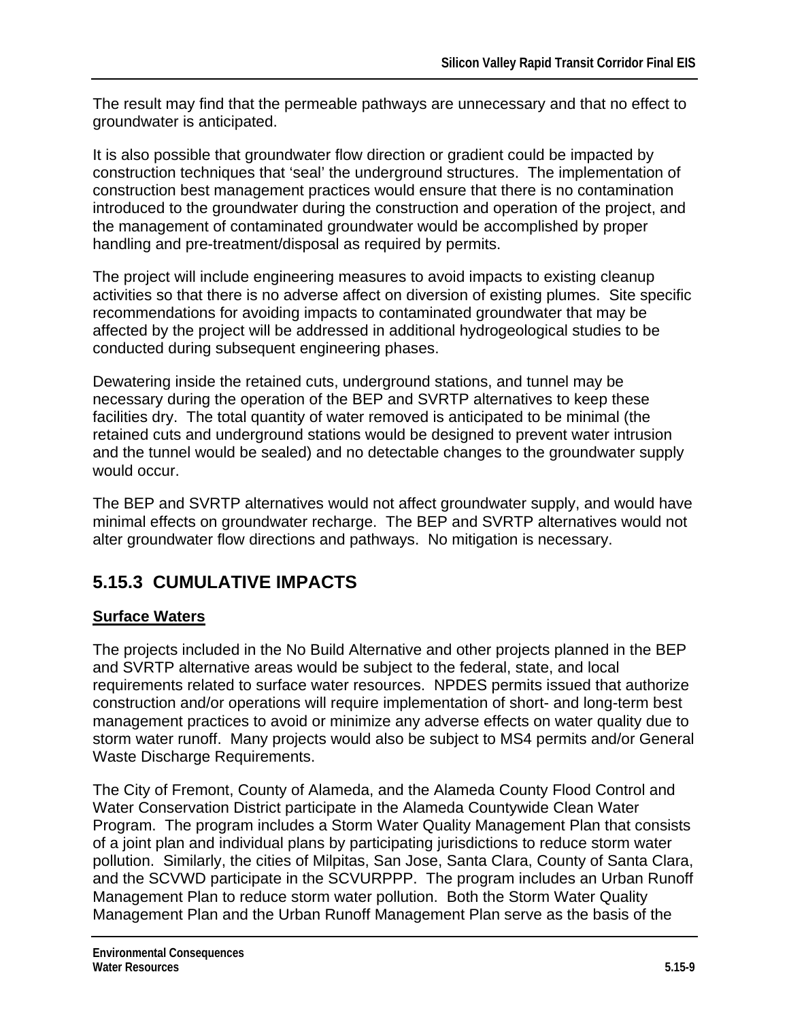The result may find that the permeable pathways are unnecessary and that no effect to groundwater is anticipated.

It is also possible that groundwater flow direction or gradient could be impacted by construction techniques that 'seal' the underground structures. The implementation of construction best management practices would ensure that there is no contamination introduced to the groundwater during the construction and operation of the project, and the management of contaminated groundwater would be accomplished by proper handling and pre-treatment/disposal as required by permits.

The project will include engineering measures to avoid impacts to existing cleanup activities so that there is no adverse affect on diversion of existing plumes. Site specific recommendations for avoiding impacts to contaminated groundwater that may be affected by the project will be addressed in additional hydrogeological studies to be conducted during subsequent engineering phases.

Dewatering inside the retained cuts, underground stations, and tunnel may be necessary during the operation of the BEP and SVRTP alternatives to keep these facilities dry. The total quantity of water removed is anticipated to be minimal (the retained cuts and underground stations would be designed to prevent water intrusion and the tunnel would be sealed) and no detectable changes to the groundwater supply would occur.

The BEP and SVRTP alternatives would not affect groundwater supply, and would have minimal effects on groundwater recharge. The BEP and SVRTP alternatives would not alter groundwater flow directions and pathways. No mitigation is necessary.

## **5.15.3 CUMULATIVE IMPACTS**

### **Surface Waters**

The projects included in the No Build Alternative and other projects planned in the BEP and SVRTP alternative areas would be subject to the federal, state, and local requirements related to surface water resources. NPDES permits issued that authorize construction and/or operations will require implementation of short- and long-term best management practices to avoid or minimize any adverse effects on water quality due to storm water runoff. Many projects would also be subject to MS4 permits and/or General Waste Discharge Requirements.

The City of Fremont, County of Alameda, and the Alameda County Flood Control and Water Conservation District participate in the Alameda Countywide Clean Water Program. The program includes a Storm Water Quality Management Plan that consists of a joint plan and individual plans by participating jurisdictions to reduce storm water pollution. Similarly, the cities of Milpitas, San Jose, Santa Clara, County of Santa Clara, and the SCVWD participate in the SCVURPPP. The program includes an Urban Runoff Management Plan to reduce storm water pollution. Both the Storm Water Quality Management Plan and the Urban Runoff Management Plan serve as the basis of the